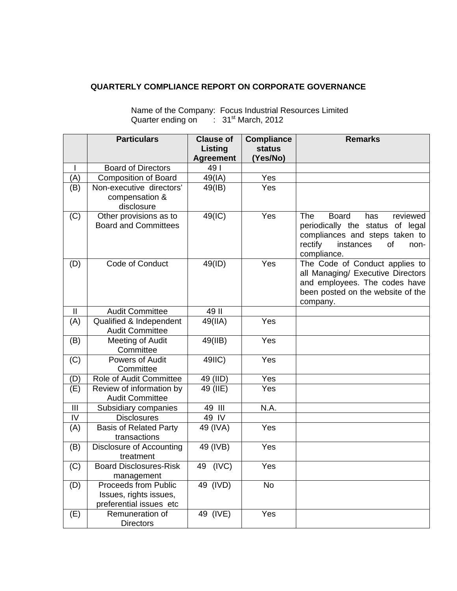## **QUARTERLY COMPLIANCE REPORT ON CORPORATE GOVERNANCE**

|                | <b>Particulars</b>                                    | <b>Clause of</b>                   | <b>Compliance</b>         | <b>Remarks</b>                                                                                                                                                           |
|----------------|-------------------------------------------------------|------------------------------------|---------------------------|--------------------------------------------------------------------------------------------------------------------------------------------------------------------------|
|                |                                                       | <b>Listing</b><br><b>Agreement</b> | <b>status</b><br>(Yes/No) |                                                                                                                                                                          |
|                | <b>Board of Directors</b>                             | 49                                 |                           |                                                                                                                                                                          |
| (A)            | <b>Composition of Board</b>                           | 49(IA)                             | Yes                       |                                                                                                                                                                          |
| (B)            | Non-executive directors'                              | 49(IB)                             | Yes                       |                                                                                                                                                                          |
|                | compensation &                                        |                                    |                           |                                                                                                                                                                          |
|                | disclosure                                            |                                    |                           |                                                                                                                                                                          |
| (C)            | Other provisions as to<br><b>Board and Committees</b> | 49(IC)                             | Yes                       | <b>The</b><br><b>Board</b><br>reviewed<br>has<br>periodically the status of legal<br>compliances and steps taken to<br>rectify<br>instances<br>of<br>non-<br>compliance. |
| (D)            | Code of Conduct                                       | 49(ID)                             | Yes                       | The Code of Conduct applies to<br>all Managing/ Executive Directors<br>and employees. The codes have<br>been posted on the website of the<br>company.                    |
| $\mathbf{I}$   | <b>Audit Committee</b>                                | 49 II                              |                           |                                                                                                                                                                          |
| (A)            | Qualified & Independent                               | 49(IIA)                            | Yes                       |                                                                                                                                                                          |
|                | <b>Audit Committee</b>                                |                                    |                           |                                                                                                                                                                          |
| (B)            | <b>Meeting of Audit</b><br>Committee                  | 49(IIB)                            | Yes                       |                                                                                                                                                                          |
| (C)            | Powers of Audit<br>Committee                          | 49IIC)                             | Yes                       |                                                                                                                                                                          |
| (D)            | Role of Audit Committee                               | 49 (IID)                           | Yes                       |                                                                                                                                                                          |
| (E)            | Review of information by<br><b>Audit Committee</b>    | 49 (IIE)                           | Yes                       |                                                                                                                                                                          |
| $\mathbf{III}$ | Subsidiary companies                                  | 49 III                             | N.A.                      |                                                                                                                                                                          |
| IV             | <b>Disclosures</b>                                    | 49 IV                              |                           |                                                                                                                                                                          |
| (A)            | <b>Basis of Related Party</b>                         | 49 (IVA)                           | Yes                       |                                                                                                                                                                          |
|                | transactions                                          |                                    |                           |                                                                                                                                                                          |
| (B)            | Disclosure of Accounting                              | 49 (IVB)                           | Yes                       |                                                                                                                                                                          |
|                | treatment                                             |                                    |                           |                                                                                                                                                                          |
| (C)            | <b>Board Disclosures-Risk</b>                         | 49 (IVC)                           | Yes                       |                                                                                                                                                                          |
|                | management<br>Proceeds from Public                    | $49$ (IVD)                         | No                        |                                                                                                                                                                          |
| (D)            | Issues, rights issues,                                |                                    |                           |                                                                                                                                                                          |
|                | preferential issues etc                               |                                    |                           |                                                                                                                                                                          |
| (E)            | Remuneration of<br><b>Directors</b>                   | 49 (IVE)                           | Yes                       |                                                                                                                                                                          |

## Name of the Company: Focus Industrial Resources Limited Quarter ending on : 31<sup>st</sup> March, 2012